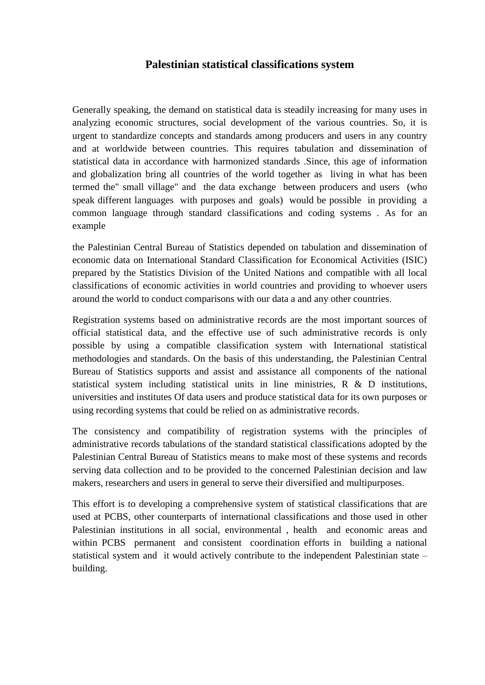## **Palestinian statistical classifications system**

Generally speaking, the demand on statistical data is steadily increasing for many uses in analyzing economic structures, social development of the various countries. So, it is urgent to standardize concepts and standards among producers and users in any country and at worldwide between countries. This requires tabulation and dissemination of statistical data in accordance with harmonized standards .Since, this age of information and globalization bring all countries of the world together as living in what has been termed the" small village" and the data exchange between producers and users (who speak different languages with purposes and goals) would be possible in providing a common language through standard classifications and coding systems . As for an example

the Palestinian Central Bureau of Statistics depended on tabulation and dissemination of economic data on International Standard Classification for Economical Activities (ISIC) prepared by the Statistics Division of the United Nations and compatible with all local classifications of economic activities in world countries and providing to whoever users around the world to conduct comparisons with our data a and any other countries.

Registration systems based on administrative records are the most important sources of official statistical data, and the effective use of such administrative records is only possible by using a compatible classification system with International statistical methodologies and standards. On the basis of this understanding, the Palestinian Central Bureau of Statistics supports and assist and assistance all components of the national statistical system including statistical units in line ministries, R & D institutions, universities and institutes Of data users and produce statistical data for its own purposes or using recording systems that could be relied on as administrative records.

The consistency and compatibility of registration systems with the principles of administrative records tabulations of the standard statistical classifications adopted by the Palestinian Central Bureau of Statistics means to make most of these systems and records serving data collection and to be provided to the concerned Palestinian decision and law makers, researchers and users in general to serve their diversified and multipurposes.

This effort is to developing a comprehensive system of statistical classifications that are used at PCBS, other counterparts of international classifications and those used in other Palestinian institutions in all social, environmental , health and economic areas and within PCBS permanent and consistent coordination efforts in building a national statistical system and it would actively contribute to the independent Palestinian state – building.